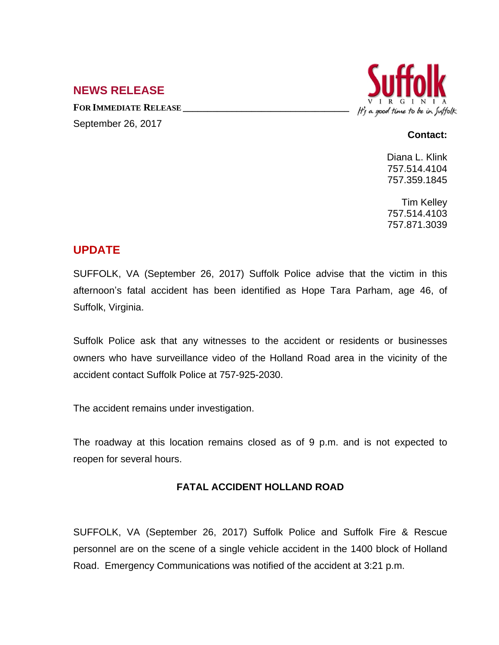## **NEWS RELEASE**

**FOR IMMEDIATE RELEASE \_\_\_\_\_\_\_\_\_\_\_\_\_\_\_\_\_\_\_\_\_\_\_\_\_\_\_\_\_\_\_\_\_\_**



### September 26, 2017

#### **Contact:**

Diana L. Klink 757.514.4104 757.359.1845

Tim Kelley 757.514.4103 757.871.3039

# **UPDATE**

SUFFOLK, VA (September 26, 2017) Suffolk Police advise that the victim in this afternoon's fatal accident has been identified as Hope Tara Parham, age 46, of Suffolk, Virginia.

Suffolk Police ask that any witnesses to the accident or residents or businesses owners who have surveillance video of the Holland Road area in the vicinity of the accident contact Suffolk Police at 757-925-2030.

The accident remains under investigation.

The roadway at this location remains closed as of 9 p.m. and is not expected to reopen for several hours.

## **FATAL ACCIDENT HOLLAND ROAD**

SUFFOLK, VA (September 26, 2017) Suffolk Police and Suffolk Fire & Rescue personnel are on the scene of a single vehicle accident in the 1400 block of Holland Road. Emergency Communications was notified of the accident at 3:21 p.m.